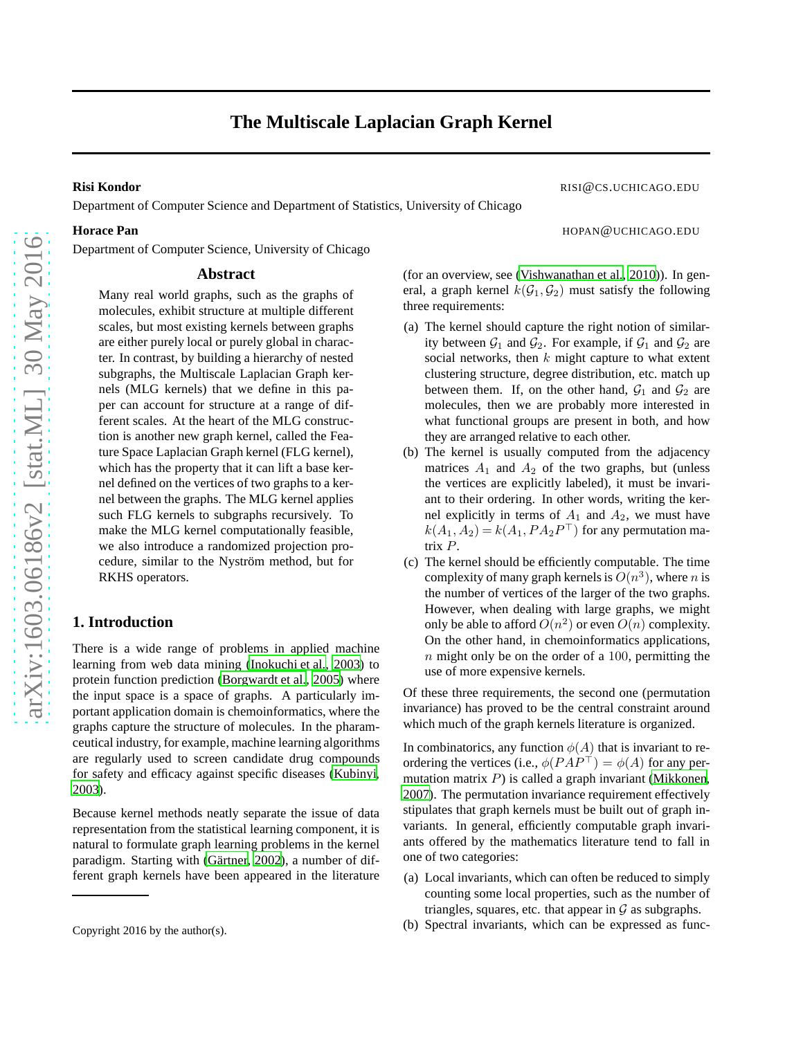Department of Computer Science and Department of Statistics, University of Chicago

Department of Computer Science, University of Chicago

## **Abstract**

Many real world graphs, such as the graphs of molecules, exhibit structure at multiple different scales, but most existing kernels between graphs are either purely local or purely global in character. In contrast, by building a hierarchy of nested subgraphs, the Multiscale Laplacian Graph kernels (MLG kernels) that we define in this paper can account for structure at a range of different scales. At the heart of the MLG construction is another new graph kernel, called the Feature Space Laplacian Graph kernel (FLG kernel), which has the property that it can lift a base kernel defined on the vertices of two graphs to a kernel between the graphs. The MLG kernel applies such FLG kernels to subgraphs recursively. To make the MLG kernel computationally feasible, we also introduce a randomized projection procedure, similar to the Nyström method, but for RKHS operators.

# **1. Introduction**

There is a wide range of problems in applied machine learning from web data mining [\(Inokuchi et al.](#page-8-0), [2003\)](#page-8-0) to protein function prediction [\(Borgwardt et al., 2005\)](#page-8-1) where the input space is a space of graphs. A particularly important application domain is chemoinformatics, where the graphs capture the structure of molecules. In the pharamceutical industry, for example, machine learning algorithms are regularly used to screen candidate drug compounds for safety and efficacy against specific diseases [\(Kubinyi,](#page-8-2) [2003\)](#page-8-2).

Because kernel methods neatly separate the issue of data representation from the statistical learning component, it is natural to formulate graph learning problems in the kernel paradigm. Starting with (Gärtner, 2002), a number of different graph kernels have been appeared in the literature

**Risi Kondor** RISI@CS.UCHICAGO.EDU

**Horace Pan HOPAN EXECUTE: HOPAN HOPAN EXECUTE: HOPAN HOPAN EXECUTE: HOPAN EXECUTE: HOPAN EXECUTE: HOPAN EXECUTE: HOPAN EXECUTE: HOPAN EXECUTE: HOPAN EXECUTE: HOPAN EXECUTE: HO** 

(for an overview, see [\(Vishwanathan et al., 2010](#page-8-4))). In general, a graph kernel  $k(G_1, G_2)$  must satisfy the following three requirements:

- (a) The kernel should capture the right notion of similarity between  $\mathcal{G}_1$  and  $\mathcal{G}_2$ . For example, if  $\mathcal{G}_1$  and  $\mathcal{G}_2$  are social networks, then  $k$  might capture to what extent clustering structure, degree distribution, etc. match up between them. If, on the other hand,  $G_1$  and  $G_2$  are molecules, then we are probably more interested in what functional groups are present in both, and how they are arranged relative to each other.
- (b) The kernel is usually computed from the adjacency matrices  $A_1$  and  $A_2$  of the two graphs, but (unless the vertices are explicitly labeled), it must be invariant to their ordering. In other words, writing the kernel explicitly in terms of  $A_1$  and  $A_2$ , we must have  $k(A_1, A_2) = k(A_1, PA_2P^{\perp})$  for any permutation matrix P.
- (c) The kernel should be efficiently computable. The time complexity of many graph kernels is  $O(n^3)$ , where n is the number of vertices of the larger of the two graphs. However, when dealing with large graphs, we might only be able to afford  $O(n^2)$  or even  $O(n)$  complexity. On the other hand, in chemoinformatics applications,  $n$  might only be on the order of a 100, permitting the use of more expensive kernels.

Of these three requirements, the second one (permutation invariance) has proved to be the central constraint around which much of the graph kernels literature is organized.

In combinatorics, any function  $\phi(A)$  that is invariant to reordering the vertices (i.e.,  $\phi(PAP^{\top}) = \phi(A)$  for any permutation matrix  $P$ ) is called a graph invariant [\(Mikkonen,](#page-8-5) [2007\)](#page-8-5). The permutation invariance requirement effectively stipulates that graph kernels must be built out of graph invariants. In general, efficiently computable graph invariants offered by the mathematics literature tend to fall in one of two categories:

- (a) Local invariants, which can often be reduced to simply counting some local properties, such as the number of triangles, squares, etc. that appear in  $\mathcal G$  as subgraphs.
- (b) Spectral invariants, which can be expressed as func-

Copyright 2016 by the author(s).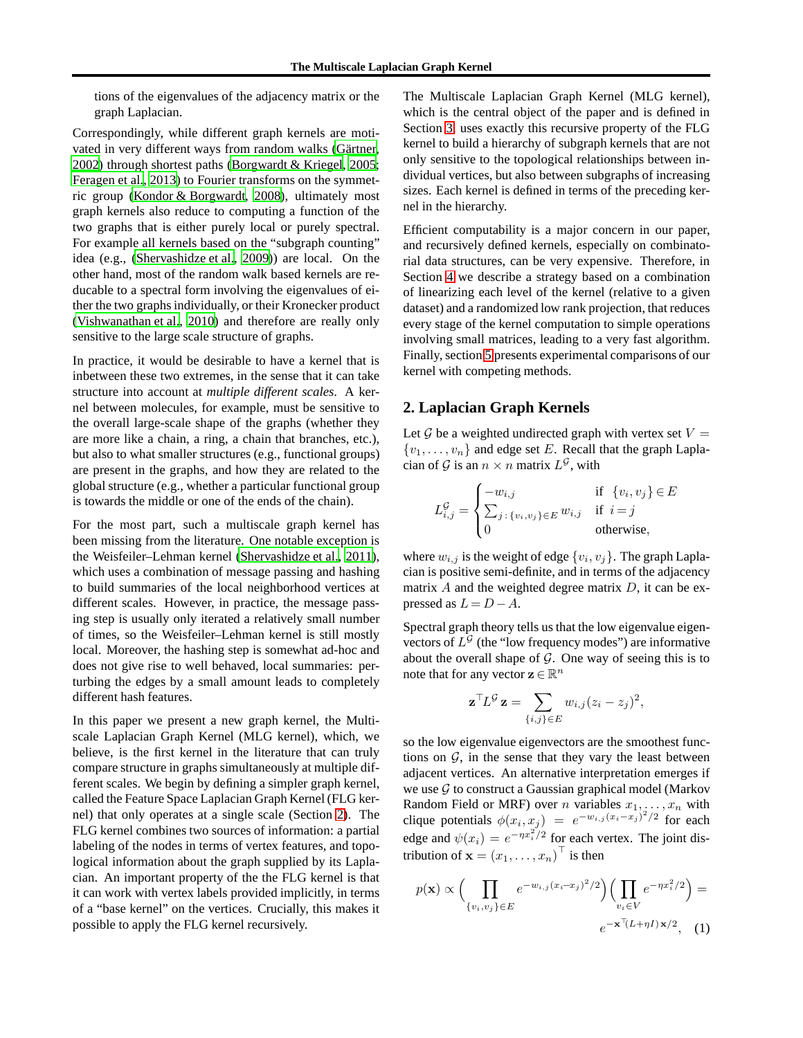tions of the eigenvalues of the adjacency matrix or the graph Laplacian.

Correspondingly, while different graph kernels are motivated in very different ways from random walks (Gärtner, [2002\)](#page-8-3) through shortest paths [\(Borgwardt & Kriegel](#page-8-6), [2005;](#page-8-6) [Feragen et al.](#page-8-7), [2013\)](#page-8-7) to Fourier transforms on the symmetric group [\(Kondor & Borgwardt, 2008\)](#page-8-8), ultimately most graph kernels also reduce to computing a function of the two graphs that is either purely local or purely spectral. For example all kernels based on the "subgraph counting" idea (e.g., [\(Shervashidze et al., 2009\)](#page-8-9)) are local. On the other hand, most of the random walk based kernels are reducable to a spectral form involving the eigenvalues of either the two graphs individually, or their Kronecker product [\(Vishwanathan et al., 2010\)](#page-8-4) and therefore are really only sensitive to the large scale structure of graphs.

In practice, it would be desirable to have a kernel that is inbetween these two extremes, in the sense that it can take structure into account at *multiple different scales*. A kernel between molecules, for example, must be sensitive to the overall large-scale shape of the graphs (whether they are more like a chain, a ring, a chain that branches, etc.), but also to what smaller structures (e.g., functional groups) are present in the graphs, and how they are related to the global structure (e.g., whether a particular functional group is towards the middle or one of the ends of the chain).

For the most part, such a multiscale graph kernel has been missing from the literature. One notable exception is the Weisfeiler–Lehman kernel [\(Shervashidze et al.](#page-8-10), [2011\)](#page-8-10), which uses a combination of message passing and hashing to build summaries of the local neighborhood vertices at different scales. However, in practice, the message passing step is usually only iterated a relatively small number of times, so the Weisfeiler–Lehman kernel is still mostly local. Moreover, the hashing step is somewhat ad-hoc and does not give rise to well behaved, local summaries: perturbing the edges by a small amount leads to completely different hash features.

In this paper we present a new graph kernel, the Multiscale Laplacian Graph Kernel (MLG kernel), which, we believe, is the first kernel in the literature that can truly compare structure in graphs simultaneously at multiple different scales. We begin by defining a simpler graph kernel, called the Feature Space Laplacian Graph Kernel (FLG kernel) that only operates at a single scale (Section [2\)](#page-1-0). The FLG kernel combines two sources of information: a partial labeling of the nodes in terms of vertex features, and topological information about the graph supplied by its Laplacian. An important property of the the FLG kernel is that it can work with vertex labels provided implicitly, in terms of a "base kernel" on the vertices. Crucially, this makes it possible to apply the FLG kernel recursively.

The Multiscale Laplacian Graph Kernel (MLG kernel), which is the central object of the paper and is defined in Section [3,](#page-4-0) uses exactly this recursive property of the FLG kernel to build a hierarchy of subgraph kernels that are not only sensitive to the topological relationships between individual vertices, but also between subgraphs of increasing sizes. Each kernel is defined in terms of the preceding kernel in the hierarchy.

Efficient computability is a major concern in our paper, and recursively defined kernels, especially on combinatorial data structures, can be very expensive. Therefore, in Section [4](#page-5-0) we describe a strategy based on a combination of linearizing each level of the kernel (relative to a given dataset) and a randomized low rank projection, that reduces every stage of the kernel computation to simple operations involving small matrices, leading to a very fast algorithm. Finally, section [5](#page-7-0) presents experimental comparisons of our kernel with competing methods.

## <span id="page-1-0"></span>**2. Laplacian Graph Kernels**

Let  $G$  be a weighted undirected graph with vertex set  $V =$  $\{v_1, \ldots, v_n\}$  and edge set E. Recall that the graph Laplacian of  $G$  is an  $n \times n$  matrix  $L^G$ , with

$$
L_{i,j}^{\mathcal{G}} = \begin{cases} -w_{i,j} & \text{if } \{v_i, v_j\} \in E\\ \sum_{j} \{v_i, v_j\} \in E \; w_{i,j} & \text{if } i = j\\ 0 & \text{otherwise,} \end{cases}
$$

where  $w_{i,j}$  is the weight of edge  $\{v_i, v_j\}$ . The graph Laplacian is positive semi-definite, and in terms of the adjacency matrix  $\vec{A}$  and the weighted degree matrix  $\vec{D}$ , it can be expressed as  $L = D - A$ .

Spectral graph theory tells us that the low eigenvalue eigenvectors of  $L^{\mathcal{G}}$  (the "low frequency modes") are informative about the overall shape of  $G$ . One way of seeing this is to note that for any vector  $\mathbf{z} \in \mathbb{R}^n$ 

$$
\mathbf{z}^\top L^{\mathcal{G}} \mathbf{z} = \sum_{\{i,j\} \in E} w_{i,j} (z_i - z_j)^2,
$$

so the low eigenvalue eigenvectors are the smoothest functions on  $G$ , in the sense that they vary the least between adjacent vertices. An alternative interpretation emerges if we use  $\mathcal G$  to construct a Gaussian graphical model (Markov Random Field or MRF) over *n* variables  $x_1, \ldots, x_n$  with clique potentials  $\phi(x_i, x_j) = e^{-w_{i,j}(x_i-x_j)^2/2}$  for each edge and  $\psi(x_i) = e^{-\eta x_i^2/2}$  for each vertex. The joint distribution of  $\mathbf{x} = (x_1, \dots, x_n)^\top$  is then

<span id="page-1-1"></span>
$$
p(\mathbf{x}) \propto \Big( \prod_{\{v_i, v_j\} \in E} e^{-w_{i,j}(x_i - x_j)^2/2} \Big) \Big( \prod_{v_i \in V} e^{-\eta x_i^2/2} \Big) =
$$

$$
e^{-\mathbf{x}^\top (L + \eta I) \mathbf{x}/2}, \quad (1)
$$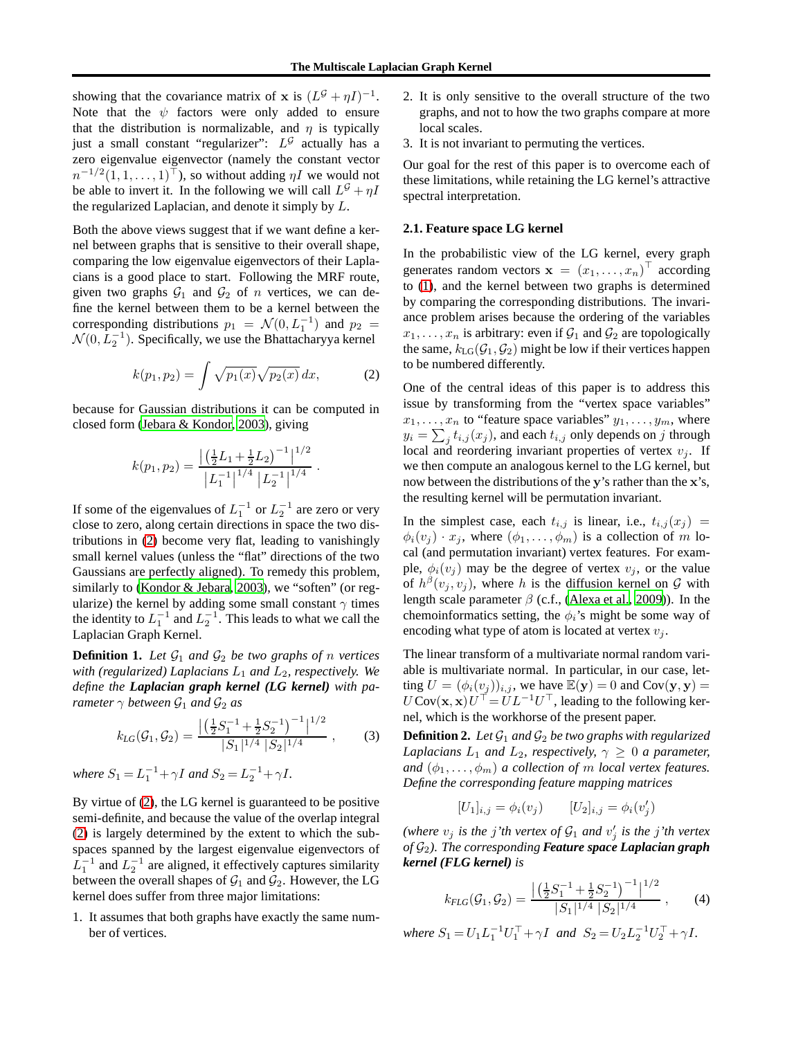showing that the covariance matrix of **x** is  $(L^{\mathcal{G}} + \eta I)^{-1}$ . Note that the  $\psi$  factors were only added to ensure that the distribution is normalizable, and  $\eta$  is typically just a small constant "regularizer":  $L^{\mathcal{G}}$  actually has a zero eigenvalue eigenvector (namely the constant vector  $n^{-1/2}(1, 1, \ldots, 1)$ <sup>T</sup>), so without adding  $\eta I$  we would not be able to invert it. In the following we will call  $L^{\mathcal{G}} + \eta I$ the regularized Laplacian, and denote it simply by L.

Both the above views suggest that if we want define a kernel between graphs that is sensitive to their overall shape, comparing the low eigenvalue eigenvectors of their Laplacians is a good place to start. Following the MRF route, given two graphs  $G_1$  and  $G_2$  of n vertices, we can define the kernel between them to be a kernel between the corresponding distributions  $p_1 = \mathcal{N}(0, L_1^{-1})$  and  $p_2 =$  $\mathcal{N}(0, L_2^{-1})$ . Specifically, we use the Bhattacharyya kernel

<span id="page-2-0"></span>
$$
k(p_1, p_2) = \int \sqrt{p_1(x)} \sqrt{p_2(x)} \, dx,\tag{2}
$$

.

because for Gaussian distributions it can be computed in closed form [\(Jebara & Kondor, 2003\)](#page-8-11), giving

$$
k(p_1, p_2) = \frac{\left| \left( \frac{1}{2} L_1 + \frac{1}{2} L_2 \right)^{-1} \right|^{1/2}}{\left| L_1^{-1} \right|^{1/4} \left| L_2^{-1} \right|^{1/4}}
$$

If some of the eigenvalues of  $L_1^{-1}$  or  $L_2^{-1}$  are zero or very close to zero, along certain directions in space the two distributions in [\(2\)](#page-2-0) become very flat, leading to vanishingly small kernel values (unless the "flat" directions of the two Gaussians are perfectly aligned). To remedy this problem, similarly to [\(Kondor & Jebara, 2003\)](#page-8-12), we "soften" (or regularize) the kernel by adding some small constant  $\gamma$  times the identity to  $L_1^{-1}$  and  $L_2^{-1}$ . This leads to what we call the Laplacian Graph Kernel.

**Definition 1.** Let  $\mathcal{G}_1$  and  $\mathcal{G}_2$  be two graphs of n vertices *with (regularized) Laplacians*  $L_1$  *and*  $L_2$ *, respectively. We define the Laplacian graph kernel (LG kernel) with parameter*  $\gamma$  *between*  $\mathcal{G}_1$  *and*  $\mathcal{G}_2$  *as* 

<span id="page-2-2"></span>
$$
k_{LG}(\mathcal{G}_1, \mathcal{G}_2) = \frac{\left| \left( \frac{1}{2} S_1^{-1} + \frac{1}{2} S_2^{-1} \right)^{-1} \right|^{1/2}}{|S_1|^{1/4} |S_2|^{1/4}}, \quad (3)
$$

*where*  $S_1 = L_1^{-1} + \gamma I$  *and*  $S_2 = L_2^{-1} + \gamma I$ *.* 

By virtue of [\(2\)](#page-2-0), the LG kernel is guaranteed to be positive semi-definite, and because the value of the overlap integral [\(2\)](#page-2-0) is largely determined by the extent to which the subspaces spanned by the largest eigenvalue eigenvectors of  $L_1^{-1}$  and  $L_2^{-1}$  are aligned, it effectively captures similarity between the overall shapes of  $\mathcal{G}_1$  and  $\mathcal{G}_2$ . However, the LG kernel does suffer from three major limitations:

1. It assumes that both graphs have exactly the same number of vertices.

- 2. It is only sensitive to the overall structure of the two graphs, and not to how the two graphs compare at more local scales.
- 3. It is not invariant to permuting the vertices.

Our goal for the rest of this paper is to overcome each of these limitations, while retaining the LG kernel's attractive spectral interpretation.

## **2.1. Feature space LG kernel**

In the probabilistic view of the LG kernel, every graph generates random vectors  $\mathbf{x} = (x_1, \dots, x_n)^\top$  according to [\(1\)](#page-1-1), and the kernel between two graphs is determined by comparing the corresponding distributions. The invariance problem arises because the ordering of the variables  $x_1, \ldots, x_n$  is arbitrary: even if  $\mathcal{G}_1$  and  $\mathcal{G}_2$  are topologically the same,  $k_{LG}(\mathcal{G}_1, \mathcal{G}_2)$  might be low if their vertices happen to be numbered differently.

One of the central ideas of this paper is to address this issue by transforming from the "vertex space variables"  $x_1, \ldots, x_n$  to "feature space variables"  $y_1, \ldots, y_m$ , where  $y_i = \sum_j t_{i,j}(x_j)$ , and each  $t_{i,j}$  only depends on j through local and reordering invariant properties of vertex  $v_j$ . If we then compute an analogous kernel to the LG kernel, but now between the distributions of the y's rather than the x's, the resulting kernel will be permutation invariant.

In the simplest case, each  $t_{i,j}$  is linear, i.e.,  $t_{i,j}(x_j)$  =  $\phi_i(v_i) \cdot x_i$ , where  $(\phi_1, \ldots, \phi_m)$  is a collection of m local (and permutation invariant) vertex features. For example,  $\phi_i(v_j)$  may be the degree of vertex  $v_j$ , or the value of  $h^{\beta}(v_j, v_j)$ , where h is the diffusion kernel on  $\mathcal G$  with length scale parameter  $\beta$  (c.f., [\(Alexa et al., 2009\)](#page-8-13)). In the chemoinformatics setting, the  $\phi_i$ 's might be some way of encoding what type of atom is located at vertex  $v_i$ .

The linear transform of a multivariate normal random variable is multivariate normal. In particular, in our case, letting  $U = (\phi_i(v_j))_{i,j}$ , we have  $\mathbb{E}(\mathbf{y}) = 0$  and  $Cov(\mathbf{y}, \mathbf{y}) =$  $U \text{Cov}(\mathbf{x}, \mathbf{x}) U^{\top} = U L^{-1} U^{\top}$ , leading to the following kernel, which is the workhorse of the present paper.

<span id="page-2-3"></span>**Definition 2.** Let  $\mathcal{G}_1$  and  $\mathcal{G}_2$  be two graphs with regularized *Laplacians*  $L_1$  *and*  $L_2$ *, respectively,*  $\gamma \geq 0$  *a parameter, and*  $(\phi_1, \ldots, \phi_m)$  *a collection of m local vertex features. Define the corresponding feature mapping matrices*

$$
[U_1]_{i,j} = \phi_i(v_j) \qquad [U_2]_{i,j} = \phi_i(v'_j)
$$

(where  $v_j$  *is the j'th vertex of*  $\mathcal{G}_1$  *and*  $v'_j$  *is the j'th vertex of* G2*). The corresponding Feature space Laplacian graph kernel (FLG kernel) is*

<span id="page-2-1"></span>
$$
k_{FLG}(\mathcal{G}_1, \mathcal{G}_2) = \frac{\left| \left( \frac{1}{2} S_1^{-1} + \frac{1}{2} S_2^{-1} \right)^{-1} \right|^{1/2}}{|S_1|^{1/4} |S_2|^{1/4}}, \qquad (4)
$$

*where*  $S_1 = U_1 L_1^{-1} U_1^{\top} + \gamma I$  *and*  $S_2 = U_2 L_2^{-1} U_2^{\top} + \gamma I$ .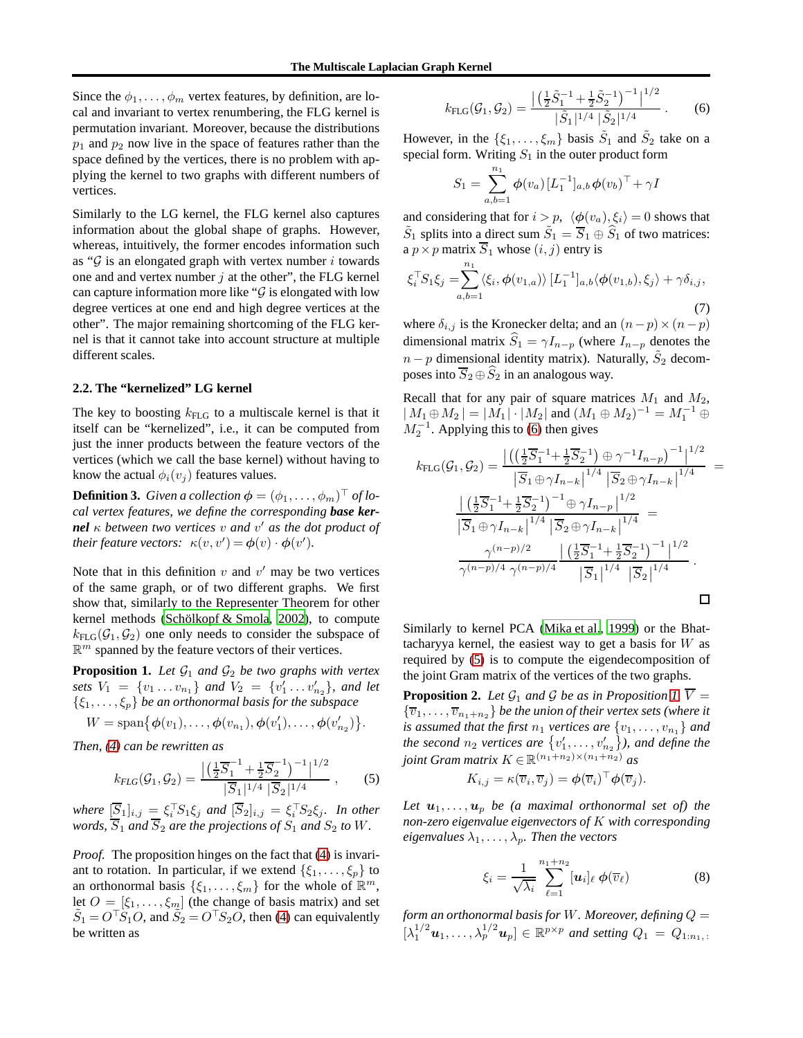Since the  $\phi_1, \ldots, \phi_m$  vertex features, by definition, are local and invariant to vertex renumbering, the FLG kernel is permutation invariant. Moreover, because the distributions  $p_1$  and  $p_2$  now live in the space of features rather than the space defined by the vertices, there is no problem with applying the kernel to two graphs with different numbers of vertices.

Similarly to the LG kernel, the FLG kernel also captures information about the global shape of graphs. However, whereas, intuitively, the former encodes information such as " $G$  is an elongated graph with vertex number i towards one and and vertex number  $j$  at the other", the FLG kernel can capture information more like " $\mathcal G$  is elongated with low degree vertices at one end and high degree vertices at the other". The major remaining shortcoming of the FLG kernel is that it cannot take into account structure at multiple different scales.

## **2.2. The "kernelized" LG kernel**

The key to boosting  $k_{\text{FLG}}$  to a multiscale kernel is that it itself can be "kernelized", i.e., it can be computed from just the inner products between the feature vectors of the vertices (which we call the base kernel) without having to know the actual  $\phi_i(v_i)$  features values.

**Definition 3.** *Given a collection*  $\boldsymbol{\phi} = (\phi_1, \dots, \phi_m)^\top$  *of local vertex features, we define the corresponding base kernel* κ *between two vertices* v *and* v ′ *as the dot product of their feature vectors:*  $\kappa(v, v') = \phi(v) \cdot \phi(v')$ .

Note that in this definition  $v$  and  $v'$  may be two vertices of the same graph, or of two different graphs. We first show that, similarly to the Representer Theorem for other kernel methods (Schölkopf  $&$  Smola, [2002](#page-8-14)), to compute  $k_{\text{FLG}}(\mathcal{G}_1, \mathcal{G}_2)$  one only needs to consider the subspace of  $\mathbb{R}^m$  spanned by the feature vectors of their vertices.

<span id="page-3-2"></span>**Proposition 1.** Let  $\mathcal{G}_1$  and  $\mathcal{G}_2$  be two graphs with vertex *sets*  $V_1 = \{v_1 \dots v_{n_1}\}$  *and*  $V_2 = \{v'_1 \dots v'_{n_2}\}$ *, and let*  $\{\xi_1,\ldots,\xi_p\}$  *be an orthonormal basis for the subspace* 

$$
W = \text{span} \{ \phi(v_1), \dots, \phi(v_{n_1}), \phi(v'_1), \dots, \phi(v'_{n_2}) \}.
$$

*Then, [\(4\)](#page-2-1) can be rewritten as*

<span id="page-3-1"></span>
$$
k_{FLG}(\mathcal{G}_1, \mathcal{G}_2) = \frac{\left| \left( \frac{1}{2} \overline{S}_1^{-1} + \frac{1}{2} \overline{S}_2^{-1} \right)^{-1} \right|^{1/2}}{|\overline{S}_1|^{1/4} |\overline{S}_2|^{1/4}},
$$
(5)

 $where \; [\underline{S}_1]_{i,j} \equiv \xi_i^{\top} S_1 \xi_j \; and \; [S_2]_{i,j} = \xi_i^{\top} S_2 \xi_j$ . In other *words,*  $S_1$  *and*  $S_2$  *are the projections of*  $S_1$  *and*  $S_2$  *to*  $W$ *.* 

*Proof.* The proposition hinges on the fact that [\(4\)](#page-2-1) is invariant to rotation. In particular, if we extend  $\{\xi_1, \ldots, \xi_p\}$  to an orthonormal basis  $\{\xi_1, \ldots, \xi_m\}$  for the whole of  $\mathbb{R}^m$ , let  $O = [\xi_1, \dots, \xi_m]$  (the change of basis matrix) and set  $\tilde{S}_1 = O^{\top}S_1O$ , and  $\tilde{S}_2 = O^{\top}S_2O$ , then [\(4\)](#page-2-1) can equivalently be written as

<span id="page-3-0"></span>
$$
k_{\rm FLG}(\mathcal{G}_1, \mathcal{G}_2) = \frac{\left| \left( \frac{1}{2} \tilde{S}_1^{-1} + \frac{1}{2} \tilde{S}_2^{-1} \right)^{-1} \right|^{1/2}}{|\tilde{S}_1|^{1/4} |\tilde{S}_2|^{1/4}} . \tag{6}
$$

However, in the  $\{\xi_1, \dots, \xi_m\}$  basis  $\tilde{S}_1$  and  $\tilde{S}_2$  take on a special form. Writing  $S_1$  in the outer product form

$$
S_1 = \sum_{a,b=1}^{n_1} \phi(v_a) [L_1^{-1}]_{a,b} \phi(v_b)^\top + \gamma I
$$

and considering that for  $i > p$ ,  $\langle \phi(v_a), \xi_i \rangle = 0$  shows that  $\tilde{S}_1$  splits into a direct sum  $\tilde{S}_1 = \overline{S}_1 \oplus \widehat{S}_1$  of two matrices: a  $p \times p$  matrix  $\overline{S}_1$  whose  $(i, j)$  entry is

<span id="page-3-4"></span>
$$
\xi_i^{\top} S_1 \xi_j = \sum_{a,b=1}^{n_1} \langle \xi_i, \phi(v_{1,a}) \rangle \left[ L_1^{-1} \right]_{a,b} \langle \phi(v_{1,b}), \xi_j \rangle + \gamma \delta_{i,j},\tag{7}
$$

where  $\delta_{i,j}$  is the Kronecker delta; and an  $(n-p) \times (n-p)$ dimensional matrix  $\hat{S}_1 = \gamma I_{n-p}$  (where  $I_{n-p}$  denotes the  $n - p$  dimensional identity matrix). Naturally,  $\tilde{S}_2$  decomposes into  $\overline{S}_2 \oplus \widehat{S}_2$  in an analogous way.

Recall that for any pair of square matrices  $M_1$  and  $M_2$ ,  $|M_1 \oplus M_2| = |M_1| \cdot |M_2|$  and  $(M_1 \oplus M_2)^{-1} = M_1^{-1} \oplus M_2$  $M_2^{-1}$ . Applying this to [\(6\)](#page-3-0) then gives

$$
k_{\text{FLG}}(\mathcal{G}_1, \mathcal{G}_2) = \frac{\left| \left( \left( \frac{1}{2} \overline{S}_1^{-1} + \frac{1}{2} \overline{S}_2^{-1} \right) \oplus \gamma^{-1} I_{n-p} \right)^{-1} \right|^{1/2}}{\left| \overline{S}_1 \oplus \gamma I_{n-k} \right|^{1/4} \left| \overline{S}_2 \oplus \gamma I_{n-k} \right|^{1/4}} = \frac{\left| \left( \frac{1}{2} \overline{S}_1^{-1} + \frac{1}{2} \overline{S}_2^{-1} \right)^{-1} \oplus \gamma I_{n-p} \right|^{1/2}}{\left| \overline{S}_1 \oplus \gamma I_{n-k} \right|^{1/4} \left| \overline{S}_2 \oplus \gamma I_{n-k} \right|^{1/4}} = \frac{\gamma^{(n-p)/2}}{\gamma^{(n-p)/4} \gamma^{(n-p)/4}} \frac{\left| \left( \frac{1}{2} \overline{S}_1^{-1} + \frac{1}{2} \overline{S}_2^{-1} \right)^{-1} \right|^{1/2}}{\left| \overline{S}_1 \right|^{1/4} \left| \overline{S}_2 \right|^{1/4}}.
$$

Similarly to kernel PCA [\(Mika et al., 1999](#page-8-15)) or the Bhattacharyya kernel, the easiest way to get a basis for  $W$  as required by [\(5\)](#page-3-1) is to compute the eigendecomposition of the joint Gram matrix of the vertices of the two graphs.

<span id="page-3-5"></span>**Proposition 2.** Let  $\mathcal{G}_1$  and  $\mathcal{G}$  be as in Proposition [1,](#page-3-2)  $\overline{V}$  =  ${\{\overline{v}_1,\ldots,\overline{v}_{n_1+n_2}\}}$  *be the union of their vertex sets (where it is assumed that the first*  $n_1$  *vertices are*  $\{v_1, \ldots, v_{n_1}\}$  *and* the second  $n_2$  vertices are  $\{v'_1, \ldots, v'_{n_2}\}$ , and define the *joint Gram matrix*  $K \in \mathbb{R}^{(n_1+n_2)\times(n_1+n_2)}$  *as* 

$$
K_{i,j} = \kappa(\overline{v}_i, \overline{v}_j) = \boldsymbol{\phi}(\overline{v}_i)^\top \boldsymbol{\phi}(\overline{v}_j).
$$

Let  $u_1, \ldots, u_p$  be (a maximal orthonormal set of) the *non-zero eigenvalue eigenvectors of* K *with corresponding eigenvalues*  $\lambda_1, \ldots, \lambda_p$ *. Then the vectors* 

<span id="page-3-3"></span>
$$
\xi_i = \frac{1}{\sqrt{\lambda_i}} \sum_{\ell=1}^{n_1+n_2} [\boldsymbol{u}_i]_\ell \phi(\overline{v}_\ell)
$$
 (8)

*form an orthonormal basis for* W*. Moreover, defining* Q =  $[\lambda_1^{1/2} \mathbf{u}_1, \ldots, \lambda_p^{1/2} \mathbf{u}_p] \in \mathbb{R}^{p \times p}$  and setting  $Q_1 = Q_{1:n_1, p}$ .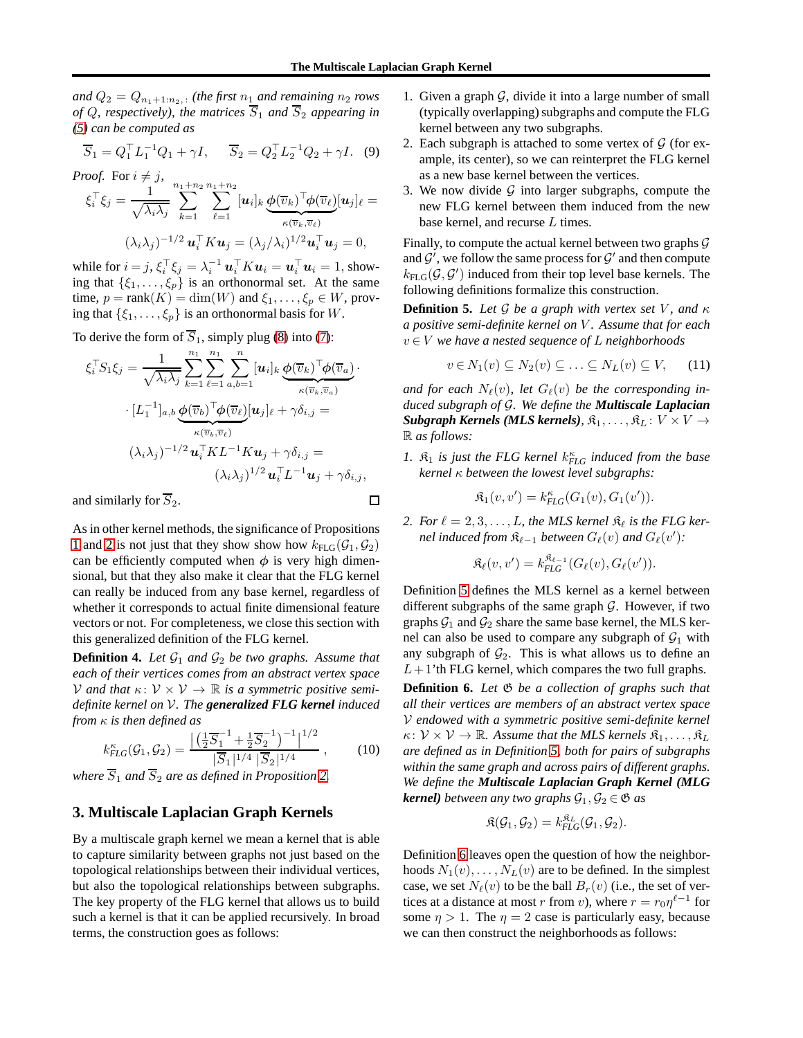and  $Q_2 = Q_{n_1+1:n_2,1}$  *(the first*  $n_1$  *and remaining*  $n_2$  *rows of* Q, respectively), the matrices  $\overline{S}_1$  and  $\overline{S}_2$  appearing in *[\(5\)](#page-3-1) can be computed as*

$$
\overline{S}_1 = Q_1^\top L_1^{-1} Q_1 + \gamma I, \quad \overline{S}_2 = Q_2^\top L_2^{-1} Q_2 + \gamma I. \tag{9}
$$

*Proof.* For  $i \neq j$ ,

$$
\xi_i^{\top} \xi_j = \frac{1}{\sqrt{\lambda_i \lambda_j}} \sum_{k=1}^{n_1+n_2} \sum_{\ell=1}^{n_1+n_2} [\boldsymbol{u}_i]_k \underbrace{\boldsymbol{\phi}(\overline{v}_k)^{\top} \boldsymbol{\phi}(\overline{v}_\ell)}_{\kappa(\overline{v}_k, \overline{v}_\ell)} [\boldsymbol{u}_j]_\ell =
$$
  

$$
(\lambda_i \lambda_j)^{-1/2} \boldsymbol{u}_i^{\top} K \boldsymbol{u}_j = (\lambda_j/\lambda_i)^{1/2} \boldsymbol{u}_i^{\top} \boldsymbol{u}_j = 0,
$$

while for  $i = j$ ,  $\xi_i^{\top} \xi_j = \lambda_i^{-1} \boldsymbol{u}_i^{\top} K \boldsymbol{u}_i = \boldsymbol{u}_i^{\top} \boldsymbol{u}_i = 1$ , showing that  $\{\xi_1, \ldots, \xi_p\}$  is an orthonormal set. At the same time,  $p = \text{rank}(K) = \dim(W)$  and  $\xi_1, \dots, \xi_p \in W$ , proving that  $\{\xi_1, \ldots, \xi_p\}$  is an orthonormal basis for W.

To derive the form of  $\overline{S}_1$ , simply plug [\(8\)](#page-3-3) into [\(7\)](#page-3-4):

$$
\xi_i^{\top} S_1 \xi_j = \frac{1}{\sqrt{\lambda_i \lambda_j}} \sum_{k=1}^{n_1} \sum_{\ell=1}^n \sum_{a,b=1}^n [u_i]_k \underbrace{\phi(\overline{v}_k)^{\top} \phi(\overline{v}_a)}_{\kappa(\overline{v}_k, \overline{v}_a)} \cdot [L_1^{-1}]_{a,b} \underbrace{\phi(\overline{v}_b)^{\top} \phi(\overline{v}_\ell)}_{\kappa(\overline{v}_b, \overline{v}_\ell)} [u_j]_l + \gamma \delta_{i,j} =
$$

$$
(\lambda_i \lambda_j)^{-1/2} u_i^{\top} K L^{-1} K u_j + \gamma \delta_{i,j} =
$$

$$
(\lambda_i \lambda_j)^{1/2} u_i^{\top} L^{-1} u_j + \gamma \delta_{i,j},
$$

and similarly for  $S_2$ .

As in other kernel methods, the significance of Propositions [1](#page-3-2) and [2](#page-3-5) is not just that they show show how  $k_{\text{FLG}}(\mathcal{G}_1, \mathcal{G}_2)$ can be efficiently computed when  $\phi$  is very high dimensional, but that they also make it clear that the FLG kernel can really be induced from any base kernel, regardless of whether it corresponds to actual finite dimensional feature vectors or not. For completeness, we close this section with this generalized definition of the FLG kernel.

<span id="page-4-3"></span>**Definition 4.** Let  $\mathcal{G}_1$  and  $\mathcal{G}_2$  be two graphs. Assume that *each of their vertices comes from an abstract vertex space* V and that  $\kappa: V \times V \to \mathbb{R}$  is a symmetric positive semi*definite kernel on* V*. The generalized FLG kernel induced from* κ *is then defined as*

$$
k_{FLG}^{\kappa}(\mathcal{G}_1, \mathcal{G}_2) = \frac{\left| \left( \frac{1}{2} \overline{S}_1^{-1} + \frac{1}{2} \overline{S}_2^{-1} \right)^{-1} \right|^{1/2}}{|\overline{S}_1|^{1/4} |\overline{S}_2|^{1/4}},
$$
(10)

<span id="page-4-0"></span>*where*  $S_1$  *and*  $S_2$  *are as defined in Proposition* [2.](#page-3-5)

## **3. Multiscale Laplacian Graph Kernels**

By a multiscale graph kernel we mean a kernel that is able to capture similarity between graphs not just based on the topological relationships between their individual vertices, but also the topological relationships between subgraphs. The key property of the FLG kernel that allows us to build such a kernel is that it can be applied recursively. In broad terms, the construction goes as follows:

- 1. Given a graph  $G$ , divide it into a large number of small (typically overlapping) subgraphs and compute the FLG kernel between any two subgraphs.
- 2. Each subgraph is attached to some vertex of  $G$  (for example, its center), so we can reinterpret the FLG kernel as a new base kernel between the vertices.
- 3. We now divide  $G$  into larger subgraphs, compute the new FLG kernel between them induced from the new base kernel, and recurse L times.

Finally, to compute the actual kernel between two graphs  $G$ and  $\mathcal{G}'$ , we follow the same process for  $\mathcal{G}'$  and then compute  $k_{\text{FLG}}(\mathcal{G}, \mathcal{G}')$  induced from their top level base kernels. The following definitions formalize this construction.

<span id="page-4-1"></span>**Definition 5.** Let G be a graph with vertex set V, and  $\kappa$ *a positive semi-definite kernel on* V *. Assume that for each* v ∈ V *we have a nested sequence of* L *neighborhoods*

$$
v \in N_1(v) \subseteq N_2(v) \subseteq \ldots \subseteq N_L(v) \subseteq V, \qquad (11)
$$

and for each  $N_{\ell}(v)$ , let  $G_{\ell}(v)$  be the corresponding in*duced subgraph of* G*. We define the Multiscale Laplacian Subgraph Kernels (MLS kernels),*  $\mathfrak{K}_1, \ldots, \mathfrak{K}_L : V \times V \rightarrow$ R *as follows:*

1.  $\mathfrak{K}_1$  *is just the FLG kernel*  $k_{FLG}^{\kappa}$  *induced from the base kernel* κ *between the lowest level subgraphs:*

$$
\mathfrak{K}_1(v, v') = k_{\text{FLG}}^{\kappa}(G_1(v), G_1(v')).
$$

2. For  $\ell = 2, 3, \ldots, L$ , the MLS kernel  $\mathfrak{K}_{\ell}$  is the FLG ker*nel induced from*  $\mathfrak{K}_{\ell-1}$  *between*  $G_{\ell}(v)$  *and*  $G_{\ell}(v')$ *:* 

$$
\mathfrak{K}_{\ell}(v,v') = k_{\mathit{FLG}}^{\mathfrak{K}_{\ell-1}}(G_{\ell}(v), G_{\ell}(v')).
$$

Definition [5](#page-4-1) defines the MLS kernel as a kernel between different subgraphs of the same graph  $G$ . However, if two graphs  $G_1$  and  $G_2$  share the same base kernel, the MLS kernel can also be used to compare any subgraph of  $G_1$  with any subgraph of  $\mathcal{G}_2$ . This is what allows us to define an  $L+1$ 'th FLG kernel, which compares the two full graphs.

<span id="page-4-2"></span>**Definition 6.** *Let* G *be a collection of graphs such that all their vertices are members of an abstract vertex space* V *endowed with a symmetric positive semi-definite kernel*  $\kappa: \mathcal{V} \times \mathcal{V} \to \mathbb{R}$ . Assume that the MLS kernels  $\mathfrak{K}_1, \ldots, \mathfrak{K}_L$ *are defined as in Definition [5,](#page-4-1) both for pairs of subgraphs within the same graph and across pairs of different graphs. We define the Multiscale Laplacian Graph Kernel (MLG kernel) between any two graphs*  $G_1, G_2 \in \mathfrak{G}$  *as* 

$$
\mathfrak{K}(\mathcal{G}_1,\mathcal{G}_2)=k_{\mathit{FLG}}^{\mathfrak{K}_L}(\mathcal{G}_1,\mathcal{G}_2).
$$

Definition [6](#page-4-2) leaves open the question of how the neighborhoods  $N_1(v), \ldots, N_L(v)$  are to be defined. In the simplest case, we set  $N_{\ell}(v)$  to be the ball  $B_r(v)$  (i.e., the set of vertices at a distance at most r from v), where  $r = r_0 \eta^{\ell-1}$  for some  $\eta > 1$ . The  $\eta = 2$  case is particularly easy, because we can then construct the neighborhoods as follows:

 $\Box$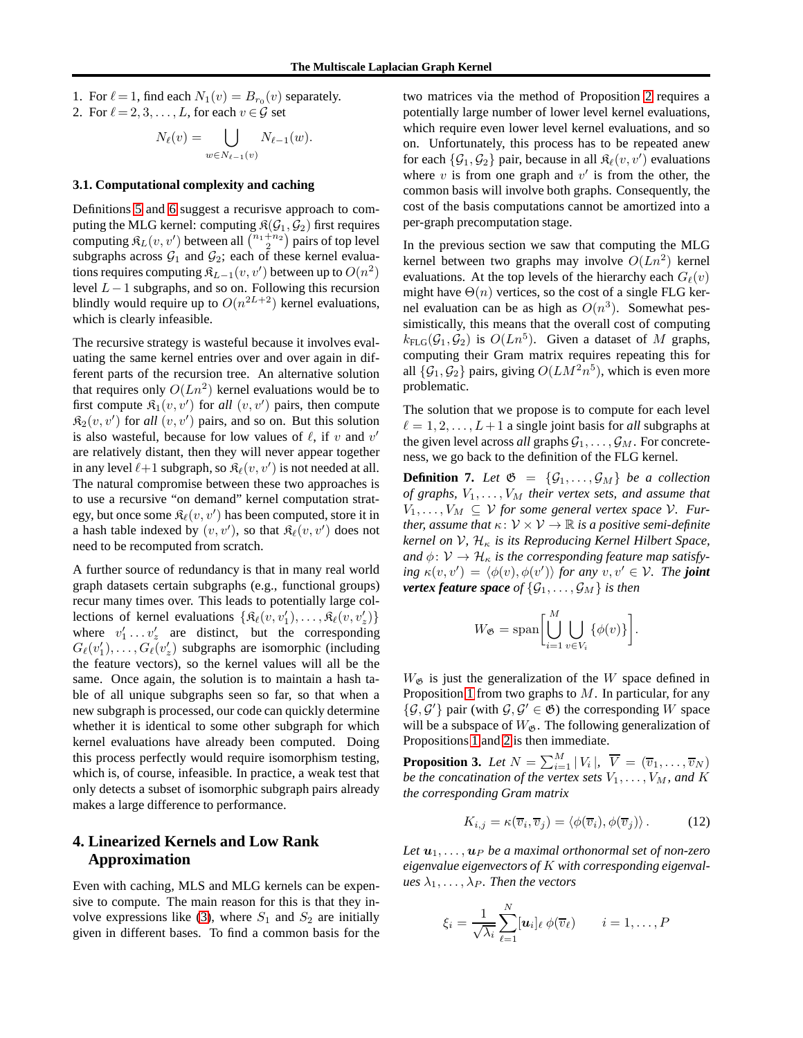1. For  $\ell = 1$ , find each  $N_1(v) = B_{r_0}(v)$  separately. 2. For  $\ell = 2, 3, \ldots, L$ , for each  $v \in \mathcal{G}$  set

$$
N_{\ell}(v) = \bigcup_{w \in N_{\ell-1}(v)} N_{\ell-1}(w).
$$

### **3.1. Computational complexity and caching**

Definitions [5](#page-4-1) and [6](#page-4-2) suggest a recurisve approach to computing the MLG kernel: computing  $\mathfrak{K}(\mathcal{G}_1, \mathcal{G}_2)$  first requires computing  $\mathfrak{K}_L(v, v')$  between all  $\binom{n_1+n_2}{2}$  pairs of top level subgraphs across  $G_1$  and  $G_2$ ; each of these kernel evaluations requires computing  $\mathfrak{K}_{L-1}(v, v')$  between up to  $O(n^2)$ level L−1 subgraphs, and so on. Following this recursion blindly would require up to  $O(n^{2L+2})$  kernel evaluations, which is clearly infeasible.

The recursive strategy is wasteful because it involves evaluating the same kernel entries over and over again in different parts of the recursion tree. An alternative solution that requires only  $O(Ln^2)$  kernel evaluations would be to first compute  $\mathfrak{K}_1(v, v')$  for all  $(v, v')$  pairs, then compute  $\mathfrak{K}_2(v, v')$  for *all*  $(v, v')$  pairs, and so on. But this solution is also wasteful, because for low values of  $\ell$ , if v and  $v'$ are relatively distant, then they will never appear together in any level  $\ell+1$  subgraph, so  $\mathfrak{K}_{\ell}(v, v')$  is not needed at all. The natural compromise between these two approaches is to use a recursive "on demand" kernel computation strategy, but once some  $\mathfrak{K}_{\ell}(v, v')$  has been computed, store it in a hash table indexed by  $(v, v')$ , so that  $\mathcal{R}_{\ell}(v, v')$  does not need to be recomputed from scratch.

A further source of redundancy is that in many real world graph datasets certain subgraphs (e.g., functional groups) recur many times over. This leads to potentially large collections of kernel evaluations  $\{\mathfrak{K}_{\ell}(v, v'_1), \ldots, \mathfrak{K}_{\ell}(v, v'_z)\}$ where  $v'_1 \dots v'_z$  are distinct, but the corresponding  $G_{\ell}(v'_1), \ldots, G_{\ell}(v'_z)$  subgraphs are isomorphic (including the feature vectors), so the kernel values will all be the same. Once again, the solution is to maintain a hash table of all unique subgraphs seen so far, so that when a new subgraph is processed, our code can quickly determine whether it is identical to some other subgraph for which kernel evaluations have already been computed. Doing this process perfectly would require isomorphism testing, which is, of course, infeasible. In practice, a weak test that only detects a subset of isomorphic subgraph pairs already makes a large difference to performance.

# <span id="page-5-0"></span>**4. Linearized Kernels and Low Rank Approximation**

Even with caching, MLS and MLG kernels can be expensive to compute. The main reason for this is that they in-volve expressions like [\(3\)](#page-2-2), where  $S_1$  and  $S_2$  are initially given in different bases. To find a common basis for the two matrices via the method of Proposition [2](#page-3-5) requires a potentially large number of lower level kernel evaluations, which require even lower level kernel evaluations, and so on. Unfortunately, this process has to be repeated anew for each  $\{\mathcal{G}_1, \mathcal{G}_2\}$  pair, because in all  $\mathcal{R}_{\ell}(v, v')$  evaluations where  $v$  is from one graph and  $v'$  is from the other, the common basis will involve both graphs. Consequently, the cost of the basis computations cannot be amortized into a per-graph precomputation stage.

In the previous section we saw that computing the MLG kernel between two graphs may involve  $O(Ln^2)$  kernel evaluations. At the top levels of the hierarchy each  $G_{\ell}(v)$ might have  $\Theta(n)$  vertices, so the cost of a single FLG kernel evaluation can be as high as  $O(n^3)$ . Somewhat pessimistically, this means that the overall cost of computing  $k_{\text{FLG}}(\mathcal{G}_1, \mathcal{G}_2)$  is  $O(Ln^5)$ . Given a dataset of M graphs, computing their Gram matrix requires repeating this for all  $\{\mathcal{G}_1, \mathcal{G}_2\}$  pairs, giving  $O(LM^2n^5)$ , which is even more problematic.

The solution that we propose is to compute for each level  $\ell = 1, 2, \ldots, L+1$  a single joint basis for *all* subgraphs at the given level across *all* graphs  $\mathcal{G}_1, \ldots, \mathcal{G}_M$ . For concreteness, we go back to the definition of the FLG kernel.

<span id="page-5-3"></span>**Definition 7.** Let  $\mathfrak{G} = {\mathcal{G}_1, \ldots, \mathcal{G}_M}$  be a collection *of graphs,*  $V_1, \ldots, V_M$  *their vertex sets, and assume that*  $V_1, \ldots, V_M \subseteq V$  *for some general vertex space*  $V$ *. Further, assume that*  $\kappa: V \times V \to \mathbb{R}$  *is a positive semi-definite kernel on* V*,* H<sup>κ</sup> *is its Reproducing Kernel Hilbert Space, and*  $\phi: V \to \mathcal{H}_{\kappa}$  *is the corresponding feature map satisfying*  $\kappa(v, v') = \langle \phi(v), \phi(v') \rangle$  *for any*  $v, v' \in V$ *. The joint vertex feature space of*  $\{G_1, \ldots, G_M\}$  *is then* 

$$
W_{\mathfrak{G}} = \text{span}\bigg[\bigcup_{i=1}^{M} \bigcup_{v \in V_{i}} \{\phi(v)\}\bigg].
$$

 $W_{\mathfrak{G}}$  is just the generalization of the W space defined in Proposition [1](#page-3-2) from two graphs to  $M$ . In particular, for any  $\{\mathcal{G}, \mathcal{G}'\}$  pair (with  $\mathcal{G}, \mathcal{G}' \in \mathfrak{G}$ ) the corresponding W space will be a subspace of  $W_{\mathfrak{G}}$ . The following generalization of Propositions [1](#page-3-2) and [2](#page-3-5) is then immediate.

<span id="page-5-1"></span>**Proposition 3.** Let  $N = \sum_{i=1}^{M} |V_i|$ ,  $\overline{V} = (\overline{v}_1, \ldots, \overline{v}_N)$ *be the concatination of the vertex sets*  $V_1, \ldots, V_M$ *, and* K *the corresponding Gram matrix*

<span id="page-5-2"></span>
$$
K_{i,j} = \kappa(\overline{v}_i, \overline{v}_j) = \langle \phi(\overline{v}_i), \phi(\overline{v}_j) \rangle. \tag{12}
$$

Let  $u_1, \ldots, u_p$  *be a maximal orthonormal set of non-zero eigenvalue eigenvectors of* K *with corresponding eigenval* $ues \lambda_1, \ldots, \lambda_P$ *. Then the vectors* 

$$
\xi_i = \frac{1}{\sqrt{\lambda_i}} \sum_{\ell=1}^N [\boldsymbol{u}_i]_\ell \phi(\overline{v}_\ell) \qquad i = 1, \ldots, P
$$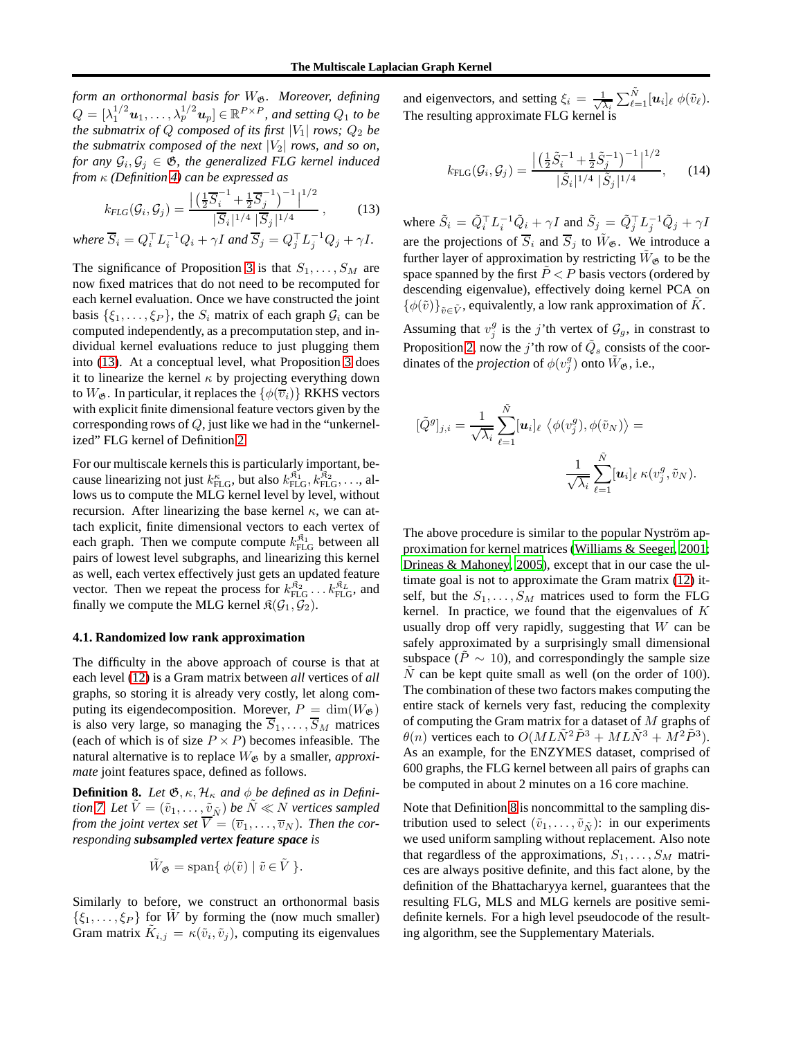*form an orthonormal basis for*  $W_{\mathfrak{G}}$ *. Moreover, defining*  $Q = [\lambda_1^{1/2} \boldsymbol{u}_1, \dots, \lambda_p^{1/2} \boldsymbol{u}_p] \in \mathbb{R}^{P \times P}$ , and setting  $Q_1$  to be *the submatrix of*  $Q$  *composed of its first*  $|V_1|$  *rows;*  $Q_2$  *be the submatrix composed of the next*  $|V_2|$  *rows, and so on, for any*  $\mathcal{G}_i, \mathcal{G}_j \in \mathfrak{G}$ , the generalized FLG kernel induced *from* κ *(Definition [4\)](#page-4-3) can be expressed as*

<span id="page-6-0"></span>
$$
k_{FLG}(\mathcal{G}_i, \mathcal{G}_j) = \frac{\left| \left( \frac{1}{2} \overline{S}_i^{-1} + \frac{1}{2} \overline{S}_j^{-1} \right)^{-1} \right|^{1/2}}{|\overline{S}_i|^{1/4} |\overline{S}_j|^{1/4}},
$$
(13)

where  $\overline{S}_i = Q_i^\top L_i^{-1} Q_i + \gamma I$  and  $\overline{S}_j = Q_j^\top L_j^{-1} Q_j + \gamma I$ .

The significance of Proposition [3](#page-5-1) is that  $S_1, \ldots, S_M$  are now fixed matrices that do not need to be recomputed for each kernel evaluation. Once we have constructed the joint basis  $\{\xi_1, \ldots, \xi_P\}$ , the  $S_i$  matrix of each graph  $\mathcal{G}_i$  can be computed independently, as a precomputation step, and individual kernel evaluations reduce to just plugging them into [\(13\)](#page-6-0). At a conceptual level, what Proposition [3](#page-5-1) does it to linearize the kernel  $\kappa$  by projecting everything down to  $W_{\mathfrak{G}}$ . In particular, it replaces the  $\{\phi(\overline{v}_i)\}\$  RKHS vectors with explicit finite dimensional feature vectors given by the corresponding rows of  $Q$ , just like we had in the "unkernelized" FLG kernel of Definition [2.](#page-2-3)

For our multiscale kernels this is particularly important, because linearizing not just  $k_{\text{FLG}}^{\kappa}$ , but also  $k_{\text{FLG}}^{\hat{\kappa}_1}, k_{\text{FLG}}^{\hat{\kappa}_2}, \ldots$ , allows us to compute the MLG kernel level by level, without recursion. After linearizing the base kernel  $\kappa$ , we can attach explicit, finite dimensional vectors to each vertex of each graph. Then we compute compute  $k_{\text{FLG}}^{\mathfrak{K}_1}$  between all pairs of lowest level subgraphs, and linearizing this kernel as well, each vertex effectively just gets an updated feature vector. Then we repeat the process for  $k_{\text{FLG}}^{R_2} \dots k_{\text{FLG}}^{R_L}$ , and finally we compute the MLG kernel  $\mathfrak{K}(\mathcal{G}_1, \mathcal{G}_2)$ .

## **4.1. Randomized low rank approximation**

The difficulty in the above approach of course is that at each level [\(12\)](#page-5-2) is a Gram matrix between *all* vertices of *all* graphs, so storing it is already very costly, let along computing its eigendecomposition. Morever,  $P = \dim(W_{\mathfrak{G}})$ is also very large, so managing the  $\overline{S}_1, \ldots, \overline{S}_M$  matrices (each of which is of size  $P \times P$ ) becomes infeasible. The natural alternative is to replace  $W_{\mathfrak{G}}$  by a smaller, *approximate* joint features space, defined as follows.

<span id="page-6-1"></span>**Definition 8.** *Let*  $\mathfrak{G}, \kappa, \mathcal{H}_\kappa$  *and*  $\phi$  *be defined as in Defini-tion [7.](#page-5-3) Let*  $\tilde{V} = (\tilde{v}_1, \dots, \tilde{v}_{\tilde{N}})$  *be*  $\tilde{N} \ll N$  *vertices sampled from the joint vertex set*  $\overline{V} = (\overline{v}_1, \ldots, \overline{v}_N)$ *. Then the corresponding subsampled vertex feature space is*

$$
\tilde{W}_{\mathfrak{G}} = \text{span}\{ \phi(\tilde{v}) \mid \tilde{v} \in \tilde{V} \}.
$$

Similarly to before, we construct an orthonormal basis  $\{\xi_1,\ldots,\xi_P\}$  for  $\hat{W}$  by forming the (now much smaller) Gram matrix  $\tilde{K}_{i,j} = \kappa(\tilde{v}_i, \tilde{v}_j)$ , computing its eigenvalues and eigenvectors, and setting  $\xi_i = \frac{1}{\sqrt{2}}$  $\frac{1}{\overline{\lambda_i}}\sum_{\ell=1}^{\tilde{N}}[\bm{u}_i]_\ell\ \phi(\tilde{v}_\ell).$ The resulting approximate FLG kernel is

$$
k_{\text{FLG}}(\mathcal{G}_i, \mathcal{G}_j) = \frac{\left| \left( \frac{1}{2} \tilde{S}_i^{-1} + \frac{1}{2} \tilde{S}_j^{-1} \right)^{-1} \right|^{1/2}}{|\tilde{S}_i|^{1/4} |\tilde{S}_j|^{1/4}},\qquad(14)
$$

where  $\tilde{S}_i = \tilde{Q}_i^{\top} L_i^{-1} \tilde{Q}_i + \gamma I$  and  $\tilde{S}_j = \tilde{Q}_j^{\top} L_j^{-1} \tilde{Q}_j + \gamma I$ are the projections of  $\overline{S}_i$  and  $\overline{S}_j$  to  $\tilde{W}_{\mathfrak{G}}$ . We introduce a further layer of approximation by restricting  $\tilde{W}_{\alpha}$  to be the space spanned by the first  $\tilde{P} < P$  basis vectors (ordered by descending eigenvalue), effectively doing kernel PCA on  $\{\phi(\tilde{v})\}_{\tilde{v}\in \tilde{V}}$ , equivalently, a low rank approximation of  $\tilde{K}$ .

Assuming that  $v_j^g$  is the j'th vertex of  $\mathcal{G}_g$ , in constrast to Proposition [2,](#page-3-5) now the j'th row of  $\tilde{Q}_s$  consists of the coordinates of the *projection* of  $\phi(v_j^g)$  onto  $\tilde{W}_{\mathfrak{G}},$  i.e.,

$$
[\tilde{Q}^g]_{j,i} = \frac{1}{\sqrt{\lambda_i}} \sum_{\ell=1}^{\tilde{N}} [\boldsymbol{u}_i]_{\ell} \langle \phi(v_j^g), \phi(\tilde{v}_N) \rangle =
$$

$$
\frac{1}{\sqrt{\lambda_i}} \sum_{\ell=1}^{\tilde{N}} [\boldsymbol{u}_i]_{\ell} \kappa(v_j^g, \tilde{v}_N).
$$

The above procedure is similar to the popular Nyström approximation for kernel matrices [\(Williams & Seeger](#page-9-0), [2001;](#page-9-0) [Drineas & Mahoney, 2005\)](#page-8-16), except that in our case the ultimate goal is not to approximate the Gram matrix [\(12\)](#page-5-2) itself, but the  $S_1, \ldots, S_M$  matrices used to form the FLG kernel. In practice, we found that the eigenvalues of  $K$ usually drop off very rapidly, suggesting that  $W$  can be safely approximated by a surprisingly small dimensional subspace ( $\dot{P} \sim 10$ ), and correspondingly the sample size N can be kept quite small as well (on the order of 100). The combination of these two factors makes computing the entire stack of kernels very fast, reducing the complexity of computing the Gram matrix for a dataset of M graphs of  $\theta(n)$  vertices each to  $O(ML\tilde{N}^2\tilde{P}^3 + ML\tilde{N}^3 + M^2\tilde{P}^3)$ . As an example, for the ENZYMES dataset, comprised of 600 graphs, the FLG kernel between all pairs of graphs can be computed in about 2 minutes on a 16 core machine.

Note that Definition [8](#page-6-1) is noncommittal to the sampling distribution used to select  $(\tilde{v}_1, \ldots, \tilde{v}_{\tilde{N}})$ : in our experiments we used uniform sampling without replacement. Also note that regardless of the approximations,  $S_1, \ldots, S_M$  matrices are always positive definite, and this fact alone, by the definition of the Bhattacharyya kernel, guarantees that the resulting FLG, MLS and MLG kernels are positive semidefinite kernels. For a high level pseudocode of the resulting algorithm, see the Supplementary Materials.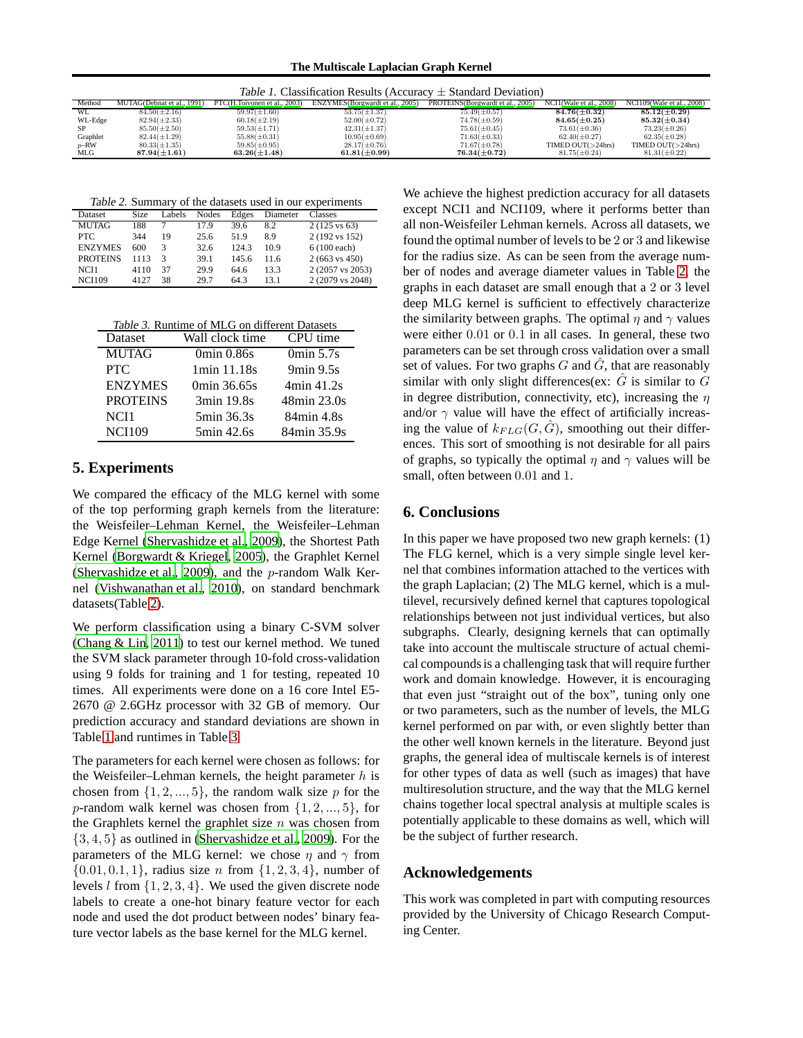<span id="page-7-2"></span>**The Multiscale Laplacian Graph Kernel**

| Table 1. Classification Results (Accuracy $\pm$ Standard Deviation) |                            |                              |                                  |                                   |                          |                           |
|---------------------------------------------------------------------|----------------------------|------------------------------|----------------------------------|-----------------------------------|--------------------------|---------------------------|
| Method                                                              | MUTAG(Debnat et al., 1991) | PTC(H.Toivonen et al., 2003) | ENZYMES (Borgwardt et al., 2005) | PROTEINS (Borgwardt et al., 2005) | NCI1 (Wale et al., 2008) | NCI109(Wale et al., 2008) |
| <b>WL</b>                                                           | $84.50(\pm2.16)$           | $59.97(\pm1.60)$             | $53.75(\pm 1.37)$                | $75.49(\pm 0.57)$                 | $84.76(\pm 0.32)$        | $85.12(\pm 0.29)$         |
| WL-Edge                                                             | $82.94(\pm 2.33)$          | $60.18(\pm2.19)$             | $52.00(\pm 0.72)$                | $74.78(\pm 0.59)$                 | $84.65(\pm0.25)$         | $85.32(\pm 0.34)$         |
| SP.                                                                 | $85.50(\pm2.50)$           | $59.53(\pm 1.71)$            | $42.31(\pm 1.37)$                | $75.61(\pm0.45)$                  | $73.61(\pm0.36)$         | $73.23(\pm 0.26)$         |
| Graphlet                                                            | $82.44(\pm 1.29)$          | $55.88(\pm 0.31)$            | $10.95(\pm 0.69)$                | $71.63(\pm 0.33)$                 | $62.40(\pm 0.27)$        | $62.35(\pm 0.28)$         |
| $p$ -RW                                                             | $80.33(\pm 1.35)$          | $59.85(\pm 0.95)$            | $28.17(\pm 0.76)$                | $71.67(\pm 0.78)$                 | TIMED OUT( >24 hrs)      | TIMED OUT $(>24$ hrs)     |
| MLG                                                                 | $87.94(\pm1.61)$           | $63.26(\pm1.48)$             | $61.81(\pm 0.99)$                | $76.34(\pm 0.72)$                 | $81.75(\pm 0.24)$        | $81.31(\pm 0.22)$         |

<span id="page-7-1"></span>

|  |  |  | Table 2. Summary of the datasets used in our experiments |
|--|--|--|----------------------------------------------------------|
|  |  |  |                                                          |

| Dataset         | Size | Labels | Nodes | Edges | Diameter | Classes                  |
|-----------------|------|--------|-------|-------|----------|--------------------------|
| <b>MUTAG</b>    | 188  |        | 179   | 39.6  | 8.2      | $2(125 \text{ vs } 63)$  |
| PTC.            | 344  | 19     | 25.6  | 51.9  | 8.9      | 2 (192 vs 152)           |
| <b>ENZYMES</b>  | 600  | 3      | 32.6  | 124.3 | 10.9     | $6(100 \text{ each})$    |
| <b>PROTEINS</b> | 1113 | 3      | 39.1  | 145.6 | 11.6     | $2(663 \text{ vs } 450)$ |
| NCI1            | 4110 | 37     | 29.9  | 64.6  | 13.3     | 2 (2057 vs 2053)         |
| <b>NCI109</b>   | 4127 | 38     | 29.7  | 64.3  | 13.1     | 2 (2079 vs 2048)         |

<span id="page-7-3"></span>Table 3. Runtime of MLG on different Datasets

| Dataset         | Wall clock time | CPU time                          |
|-----------------|-----------------|-----------------------------------|
| <b>MUTAG</b>    | 0min 0.86s      | 0 <sub>min</sub> 5.7 <sub>s</sub> |
| <b>PTC</b>      | 1min 11.18s     | $9\text{min}$ $9.5\text{s}$       |
| <b>ENZYMES</b>  | 0min 36.65s     | 4min 41.2s                        |
| <b>PROTEINS</b> | 3min 19.8s      | 48min 23.0s                       |
| NCI1            | 5min 36.3s      | 84min 4.8s                        |
| <b>NCI109</b>   | 5min 42.6s      | 84min 35.9s                       |

# <span id="page-7-0"></span>**5. Experiments**

We compared the efficacy of the MLG kernel with some of the top performing graph kernels from the literature: the Weisfeiler–Lehman Kernel, the Weisfeiler–Lehman Edge Kernel [\(Shervashidze et al., 2009](#page-8-9)), the Shortest Path Kernel [\(Borgwardt & Kriegel, 2005\)](#page-8-6), the Graphlet Kernel [\(Shervashidze et al., 2009\)](#page-8-9), and the  $p$ -random Walk Kernel [\(Vishwanathan et al., 2010\)](#page-8-4), on standard benchmark datasets(Table [2\)](#page-7-1).

We perform classification using a binary C-SVM solver [\(Chang & Lin](#page-8-20), [2011\)](#page-8-20) to test our kernel method. We tuned the SVM slack parameter through 10-fold cross-validation using 9 folds for training and 1 for testing, repeated 10 times. All experiments were done on a 16 core Intel E5- 2670 @ 2.6GHz processor with 32 GB of memory. Our prediction accuracy and standard deviations are shown in Table [1](#page-7-2) and runtimes in Table [3.](#page-7-3)

The parameters for each kernel were chosen as follows: for the Weisfeiler–Lehman kernels, the height parameter  $h$  is chosen from  $\{1, 2, ..., 5\}$ , the random walk size p for the p-random walk kernel was chosen from  $\{1, 2, ..., 5\}$ , for the Graphlets kernel the graphlet size  $n$  was chosen from  $\{3, 4, 5\}$  as outlined in [\(Shervashidze et al., 2009\)](#page-8-9). For the parameters of the MLG kernel: we chose  $\eta$  and  $\gamma$  from  $\{0.01, 0.1, 1\}$ , radius size *n* from  $\{1, 2, 3, 4\}$ , number of levels  $l$  from  $\{1, 2, 3, 4\}$ . We used the given discrete node labels to create a one-hot binary feature vector for each node and used the dot product between nodes' binary feature vector labels as the base kernel for the MLG kernel.

We achieve the highest prediction accuracy for all datasets except NCI1 and NCI109, where it performs better than all non-Weisfeiler Lehman kernels. Across all datasets, we found the optimal number of levels to be 2 or 3 and likewise for the radius size. As can be seen from the average number of nodes and average diameter values in Table [2,](#page-7-1) the graphs in each dataset are small enough that a 2 or 3 level deep MLG kernel is sufficient to effectively characterize the similarity between graphs. The optimal  $\eta$  and  $\gamma$  values were either 0.01 or 0.1 in all cases. In general, these two parameters can be set through cross validation over a small set of values. For two graphs  $G$  and  $\hat{G}$ , that are reasonably similar with only slight differences(ex:  $\hat{G}$  is similar to G in degree distribution, connectivity, etc), increasing the  $\eta$ and/or  $\gamma$  value will have the effect of artificially increasing the value of  $k_{FLG}(G, \hat{G})$ , smoothing out their differences. This sort of smoothing is not desirable for all pairs of graphs, so typically the optimal  $\eta$  and  $\gamma$  values will be small, often between 0.01 and 1.

# **6. Conclusions**

In this paper we have proposed two new graph kernels: (1) The FLG kernel, which is a very simple single level kernel that combines information attached to the vertices with the graph Laplacian; (2) The MLG kernel, which is a multilevel, recursively defined kernel that captures topological relationships between not just individual vertices, but also subgraphs. Clearly, designing kernels that can optimally take into account the multiscale structure of actual chemical compounds is a challenging task that will require further work and domain knowledge. However, it is encouraging that even just "straight out of the box", tuning only one or two parameters, such as the number of levels, the MLG kernel performed on par with, or even slightly better than the other well known kernels in the literature. Beyond just graphs, the general idea of multiscale kernels is of interest for other types of data as well (such as images) that have multiresolution structure, and the way that the MLG kernel chains together local spectral analysis at multiple scales is potentially applicable to these domains as well, which will be the subject of further research.

# **Acknowledgements**

This work was completed in part with computing resources provided by the University of Chicago Research Computing Center.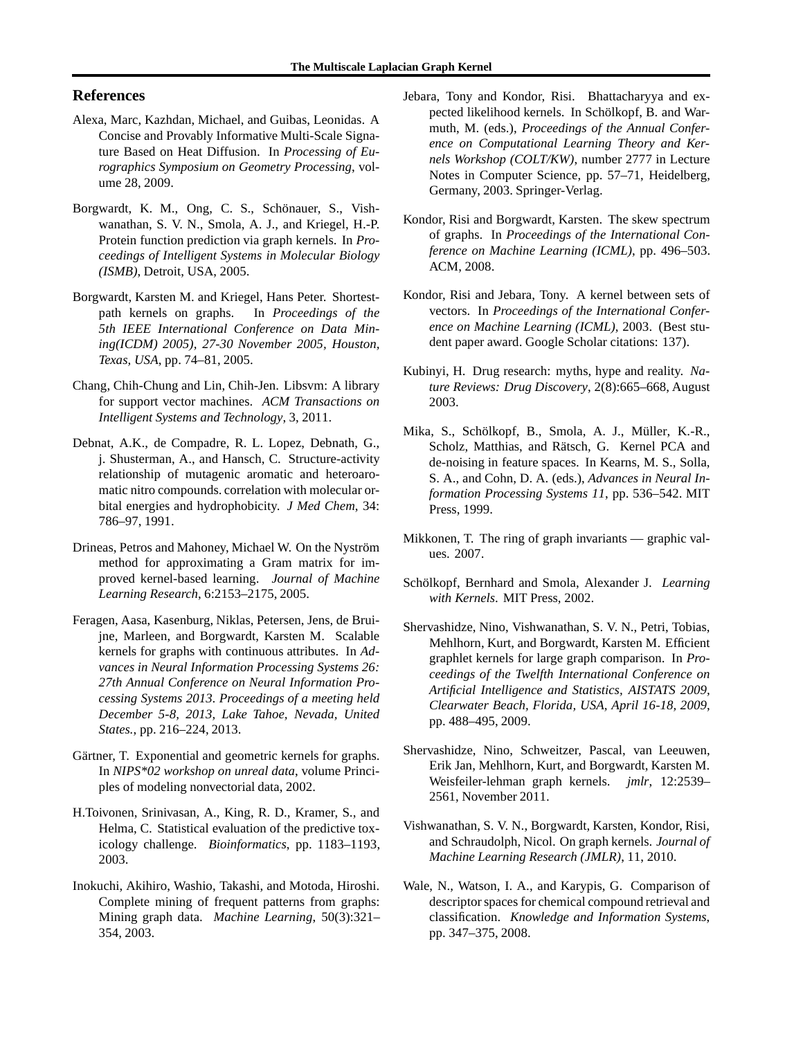## **References**

- <span id="page-8-13"></span>Alexa, Marc, Kazhdan, Michael, and Guibas, Leonidas. A Concise and Provably Informative Multi-Scale Signature Based on Heat Diffusion. In *Processing of Eurographics Symposium on Geometry Processing*, volume 28, 2009.
- <span id="page-8-1"></span>Borgwardt, K. M., Ong, C. S., Schönauer, S., Vishwanathan, S. V. N., Smola, A. J., and Kriegel, H.-P. Protein function prediction via graph kernels. In *Proceedings of Intelligent Systems in Molecular Biology (ISMB)*, Detroit, USA, 2005.
- <span id="page-8-6"></span>Borgwardt, Karsten M. and Kriegel, Hans Peter. Shortestpath kernels on graphs. In *Proceedings of the 5th IEEE International Conference on Data Mining(ICDM) 2005), 27-30 November 2005, Houston, Texas, USA*, pp. 74–81, 2005.
- <span id="page-8-20"></span>Chang, Chih-Chung and Lin, Chih-Jen. Libsvm: A library for support vector machines. *ACM Transactions on Intelligent Systems and Technology*, 3, 2011.
- <span id="page-8-17"></span>Debnat, A.K., de Compadre, R. L. Lopez, Debnath, G., j. Shusterman, A., and Hansch, C. Structure-activity relationship of mutagenic aromatic and heteroaromatic nitro compounds. correlation with molecular orbital energies and hydrophobicity. *J Med Chem*, 34: 786–97, 1991.
- <span id="page-8-16"></span>Drineas, Petros and Mahoney, Michael W. On the Nyström method for approximating a Gram matrix for improved kernel-based learning. *Journal of Machine Learning Research*, 6:2153–2175, 2005.
- <span id="page-8-7"></span>Feragen, Aasa, Kasenburg, Niklas, Petersen, Jens, de Bruijne, Marleen, and Borgwardt, Karsten M. Scalable kernels for graphs with continuous attributes. In *Advances in Neural Information Processing Systems 26: 27th Annual Conference on Neural Information Processing Systems 2013. Proceedings of a meeting held December 5-8, 2013, Lake Tahoe, Nevada, United States.*, pp. 216–224, 2013.
- <span id="page-8-3"></span>Gärtner, T. Exponential and geometric kernels for graphs. In *NIPS\*02 workshop on unreal data*, volume Principles of modeling nonvectorial data, 2002.
- <span id="page-8-18"></span>H.Toivonen, Srinivasan, A., King, R. D., Kramer, S., and Helma, C. Statistical evaluation of the predictive toxicology challenge. *Bioinformatics*, pp. 1183–1193, 2003.
- <span id="page-8-0"></span>Inokuchi, Akihiro, Washio, Takashi, and Motoda, Hiroshi. Complete mining of frequent patterns from graphs: Mining graph data. *Machine Learning*, 50(3):321– 354, 2003.
- <span id="page-8-11"></span>Jebara, Tony and Kondor, Risi. Bhattacharyya and expected likelihood kernels. In Schölkopf, B. and Warmuth, M. (eds.), *Proceedings of the Annual Conference on Computational Learning Theory and Kernels Workshop (COLT/KW)*, number 2777 in Lecture Notes in Computer Science, pp. 57–71, Heidelberg, Germany, 2003. Springer-Verlag.
- <span id="page-8-8"></span>Kondor, Risi and Borgwardt, Karsten. The skew spectrum of graphs. In *Proceedings of the International Conference on Machine Learning (ICML)*, pp. 496–503. ACM, 2008.
- <span id="page-8-12"></span>Kondor, Risi and Jebara, Tony. A kernel between sets of vectors. In *Proceedings of the International Conference on Machine Learning (ICML)*, 2003. (Best student paper award. Google Scholar citations: 137).
- <span id="page-8-2"></span>Kubinyi, H. Drug research: myths, hype and reality. *Nature Reviews: Drug Discovery*, 2(8):665–668, August 2003.
- <span id="page-8-15"></span>Mika, S., Schölkopf, B., Smola, A. J., Müller, K.-R., Scholz, Matthias, and Rätsch, G. Kernel PCA and de-noising in feature spaces. In Kearns, M. S., Solla, S. A., and Cohn, D. A. (eds.), *Advances in Neural Information Processing Systems 11*, pp. 536–542. MIT Press, 1999.
- <span id="page-8-5"></span>Mikkonen, T. The ring of graph invariants — graphic values. 2007.
- <span id="page-8-14"></span>Schölkopf, Bernhard and Smola, Alexander J. *Learning with Kernels*. MIT Press, 2002.
- <span id="page-8-9"></span>Shervashidze, Nino, Vishwanathan, S. V. N., Petri, Tobias, Mehlhorn, Kurt, and Borgwardt, Karsten M. Efficient graphlet kernels for large graph comparison. In *Proceedings of the Twelfth International Conference on Artificial Intelligence and Statistics, AISTATS 2009, Clearwater Beach, Florida, USA, April 16-18, 2009*, pp. 488–495, 2009.
- <span id="page-8-10"></span>Shervashidze, Nino, Schweitzer, Pascal, van Leeuwen, Erik Jan, Mehlhorn, Kurt, and Borgwardt, Karsten M. Weisfeiler-lehman graph kernels. *jmlr*, 12:2539– 2561, November 2011.
- <span id="page-8-4"></span>Vishwanathan, S. V. N., Borgwardt, Karsten, Kondor, Risi, and Schraudolph, Nicol. On graph kernels. *Journal of Machine Learning Research (JMLR)*, 11, 2010.
- <span id="page-8-19"></span>Wale, N., Watson, I. A., and Karypis, G. Comparison of descriptor spaces for chemical compound retrieval and classification. *Knowledge and Information Systems*, pp. 347–375, 2008.